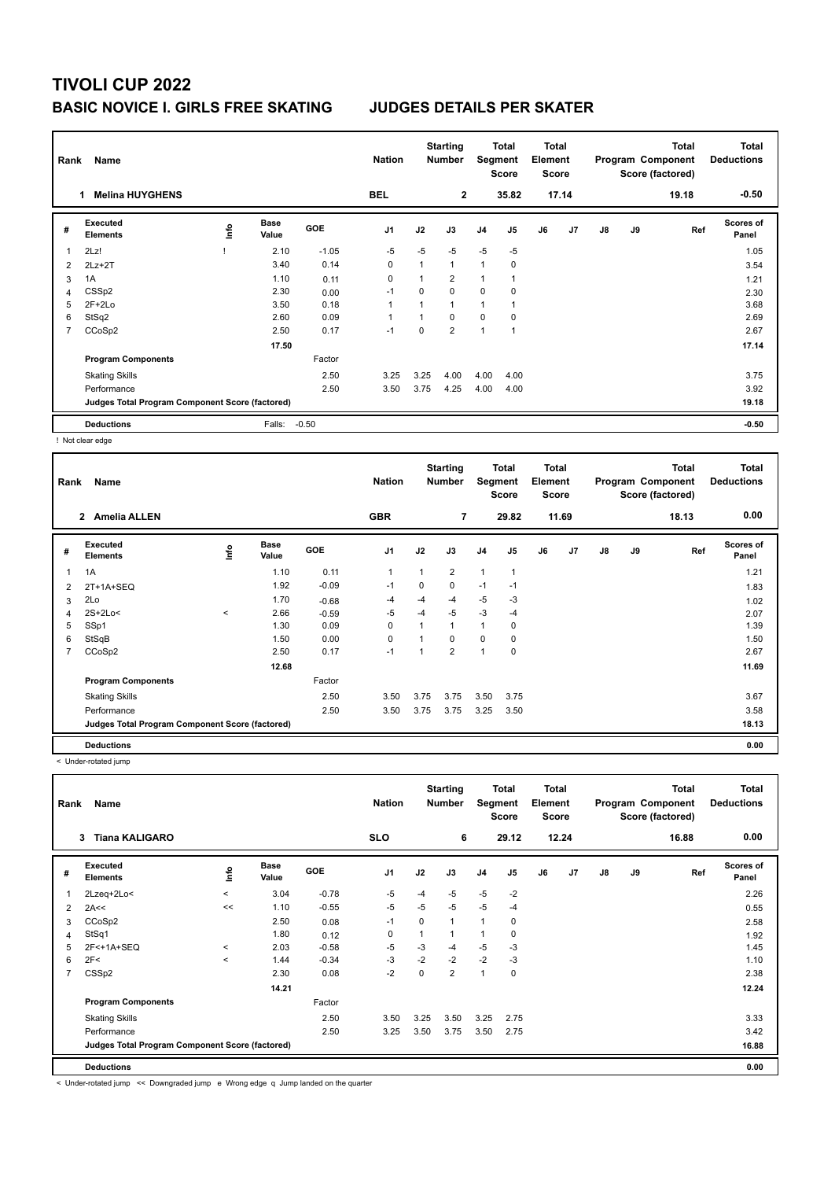# **TIVOLI CUP 2022 BASIC NOVICE I. GIRLS FREE SKATING JUDGES DETAILS PER SKATER**

| Rank<br>Name |                                                 |      |                      |            | <b>Nation</b>  |                | <b>Starting</b><br><b>Number</b> |                | Total<br>Segment<br><b>Score</b> | <b>Total</b><br>Element<br><b>Score</b> |                |               |    | Total<br>Program Component<br>Score (factored) | <b>Total</b><br><b>Deductions</b> |
|--------------|-------------------------------------------------|------|----------------------|------------|----------------|----------------|----------------------------------|----------------|----------------------------------|-----------------------------------------|----------------|---------------|----|------------------------------------------------|-----------------------------------|
|              | <b>Melina HUYGHENS</b>                          |      |                      |            | <b>BEL</b>     |                | $\mathbf{2}$                     |                | 35.82                            |                                         | 17.14          |               |    | 19.18                                          | $-0.50$                           |
| #            | <b>Executed</b><br><b>Elements</b>              | ١nfo | <b>Base</b><br>Value | <b>GOE</b> | J <sub>1</sub> | J2             | J3                               | J <sub>4</sub> | J5                               | J6                                      | J <sub>7</sub> | $\mathsf{J}8$ | J9 | Ref                                            | <b>Scores of</b><br>Panel         |
| 1            | 2Lz!                                            |      | 2.10                 | $-1.05$    | $-5$           | $-5$           | $-5$                             | $-5$           | $-5$                             |                                         |                |               |    |                                                | 1.05                              |
| 2            | $2Lz + 2T$                                      |      | 3.40                 | 0.14       | 0              | $\mathbf{1}$   | $\mathbf{1}$                     | 1              | 0                                |                                         |                |               |    |                                                | 3.54                              |
| 3            | 1A                                              |      | 1.10                 | 0.11       | 0              | $\overline{1}$ | $\overline{2}$                   | 1              |                                  |                                         |                |               |    |                                                | 1.21                              |
| 4            | CSS <sub>p2</sub>                               |      | 2.30                 | 0.00       | $-1$           | $\Omega$       | $\Omega$                         | 0              | $\mathbf 0$                      |                                         |                |               |    |                                                | 2.30                              |
| 5            | $2F+2Lo$                                        |      | 3.50                 | 0.18       | 1              |                | $\overline{ }$                   | 1              |                                  |                                         |                |               |    |                                                | 3.68                              |
| 6            | StSq2                                           |      | 2.60                 | 0.09       | -1             |                | 0                                | 0              | 0                                |                                         |                |               |    |                                                | 2.69                              |
| 7            | CCoSp2                                          |      | 2.50                 | 0.17       | $-1$           | 0              | $\overline{2}$                   | 1              |                                  |                                         |                |               |    |                                                | 2.67                              |
|              |                                                 |      | 17.50                |            |                |                |                                  |                |                                  |                                         |                |               |    |                                                | 17.14                             |
|              | <b>Program Components</b>                       |      |                      | Factor     |                |                |                                  |                |                                  |                                         |                |               |    |                                                |                                   |
|              | <b>Skating Skills</b>                           |      |                      | 2.50       | 3.25           | 3.25           | 4.00                             | 4.00           | 4.00                             |                                         |                |               |    |                                                | 3.75                              |
|              | Performance                                     |      |                      | 2.50       | 3.50           | 3.75           | 4.25                             | 4.00           | 4.00                             |                                         |                |               |    |                                                | 3.92                              |
|              | Judges Total Program Component Score (factored) |      |                      |            |                |                |                                  |                |                                  |                                         |                |               |    |                                                | 19.18                             |
|              | <b>Deductions</b>                               |      | Falls:               | $-0.50$    |                |                |                                  |                |                                  |                                         |                |               |    |                                                | $-0.50$                           |

! Not clear edge

| Rank | Name                                            |       |                      |            | <b>Nation</b>  |                          | <b>Starting</b><br>Number | Segment        | <b>Total</b><br><b>Score</b> | Total<br>Element<br><b>Score</b> |                |    |    | <b>Total</b><br>Program Component<br>Score (factored) | Total<br><b>Deductions</b> |
|------|-------------------------------------------------|-------|----------------------|------------|----------------|--------------------------|---------------------------|----------------|------------------------------|----------------------------------|----------------|----|----|-------------------------------------------------------|----------------------------|
|      | <b>Amelia ALLEN</b><br>$\mathbf{2}$             |       |                      |            | <b>GBR</b>     |                          | $\overline{7}$            |                | 29.82                        |                                  | 11.69          |    |    | 18.13                                                 | 0.00                       |
| #    | <b>Executed</b><br><b>Elements</b>              | ١nfo  | <b>Base</b><br>Value | <b>GOE</b> | J <sub>1</sub> | J2                       | J3                        | J <sub>4</sub> | J5                           | J6                               | J <sub>7</sub> | J8 | J9 | Ref                                                   | Scores of<br>Panel         |
| 1    | 1A                                              |       | 1.10                 | 0.11       | $\mathbf{1}$   | $\mathbf{1}$             | $\overline{2}$            | $\mathbf{1}$   | 1                            |                                  |                |    |    |                                                       | 1.21                       |
| 2    | 2T+1A+SEQ                                       |       | 1.92                 | $-0.09$    | $-1$           | $\Omega$                 | 0                         | $-1$           | $-1$                         |                                  |                |    |    |                                                       | 1.83                       |
| 3    | 2Lo                                             |       | 1.70                 | $-0.68$    | -4             | $-4$                     | $-4$                      | $-5$           | $-3$                         |                                  |                |    |    |                                                       | 1.02                       |
| 4    | $2S+2Lo<$                                       | $\,<$ | 2.66                 | $-0.59$    | $-5$           | $-4$                     | $-5$                      | $-3$           | $-4$                         |                                  |                |    |    |                                                       | 2.07                       |
| 5    | SSp1                                            |       | 1.30                 | 0.09       | $\Omega$       | 1                        | 1                         | $\mathbf{1}$   | $\Omega$                     |                                  |                |    |    |                                                       | 1.39                       |
| 6    | StSqB                                           |       | 1.50                 | 0.00       | $\mathbf 0$    |                          | $\Omega$                  | $\Omega$       | 0                            |                                  |                |    |    |                                                       | 1.50                       |
| 7    | CCoSp2                                          |       | 2.50                 | 0.17       | $-1$           | $\overline{\phantom{a}}$ | $\overline{2}$            | $\overline{1}$ | $\mathbf 0$                  |                                  |                |    |    |                                                       | 2.67                       |
|      |                                                 |       | 12.68                |            |                |                          |                           |                |                              |                                  |                |    |    |                                                       | 11.69                      |
|      | <b>Program Components</b>                       |       |                      | Factor     |                |                          |                           |                |                              |                                  |                |    |    |                                                       |                            |
|      | <b>Skating Skills</b>                           |       |                      | 2.50       | 3.50           | 3.75                     | 3.75                      | 3.50           | 3.75                         |                                  |                |    |    |                                                       | 3.67                       |
|      | Performance                                     |       |                      | 2.50       | 3.50           | 3.75                     | 3.75                      | 3.25           | 3.50                         |                                  |                |    |    |                                                       | 3.58                       |
|      | Judges Total Program Component Score (factored) |       |                      |            |                |                          |                           |                |                              |                                  |                |    |    |                                                       | 18.13                      |
|      | <b>Deductions</b>                               |       |                      |            |                |                          |                           |                |                              |                                  |                |    |    |                                                       | 0.00                       |

< Under-rotated jump

| Rank | Name                                            |         |                      |         | <b>Nation</b>  |      | <b>Starting</b><br><b>Number</b> |                | Total<br>Segment<br><b>Score</b> | <b>Total</b><br>Element<br><b>Score</b> |       |               |    | <b>Total</b><br>Program Component<br>Score (factored) | <b>Total</b><br><b>Deductions</b> |
|------|-------------------------------------------------|---------|----------------------|---------|----------------|------|----------------------------------|----------------|----------------------------------|-----------------------------------------|-------|---------------|----|-------------------------------------------------------|-----------------------------------|
|      | <b>Tiana KALIGARO</b><br>3                      |         |                      |         | <b>SLO</b>     |      | 6                                |                | 29.12                            |                                         | 12.24 |               |    | 16.88                                                 | 0.00                              |
| #    | Executed<br><b>Elements</b>                     | ١nf٥    | <b>Base</b><br>Value | GOE     | J <sub>1</sub> | J2   | J3                               | J <sub>4</sub> | J <sub>5</sub>                   | J6                                      | J7    | $\mathsf{J}8$ | J9 | Ref                                                   | <b>Scores of</b><br>Panel         |
|      | 2Lzeq+2Lo<                                      | $\prec$ | 3.04                 | $-0.78$ | $-5$           | $-4$ | $-5$                             | $-5$           | $-2$                             |                                         |       |               |    |                                                       | 2.26                              |
| 2    | 2A<<                                            | <<      | 1.10                 | $-0.55$ | $-5$           | $-5$ | $-5$                             | $-5$           | $-4$                             |                                         |       |               |    |                                                       | 0.55                              |
| 3    | CCoSp2                                          |         | 2.50                 | 0.08    | $-1$           | 0    | 1                                | $\overline{1}$ | 0                                |                                         |       |               |    |                                                       | 2.58                              |
| 4    | StSq1                                           |         | 1.80                 | 0.12    | 0              | 1    | 1                                | 1              | 0                                |                                         |       |               |    |                                                       | 1.92                              |
| 5    | 2F<+1A+SEQ                                      | $\prec$ | 2.03                 | $-0.58$ | -5             | $-3$ | $-4$                             | $-5$           | $-3$                             |                                         |       |               |    |                                                       | 1.45                              |
| 6    | 2F<                                             | $\prec$ | 1.44                 | $-0.34$ | $-3$           | $-2$ | $-2$                             | $-2$           | $-3$                             |                                         |       |               |    |                                                       | 1.10                              |
| 7    | CSS <sub>p2</sub>                               |         | 2.30                 | 0.08    | $-2$           | 0    | $\overline{2}$                   | $\overline{1}$ | 0                                |                                         |       |               |    |                                                       | 2.38                              |
|      |                                                 |         | 14.21                |         |                |      |                                  |                |                                  |                                         |       |               |    |                                                       | 12.24                             |
|      | <b>Program Components</b>                       |         |                      | Factor  |                |      |                                  |                |                                  |                                         |       |               |    |                                                       |                                   |
|      | <b>Skating Skills</b>                           |         |                      | 2.50    | 3.50           | 3.25 | 3.50                             | 3.25           | 2.75                             |                                         |       |               |    |                                                       | 3.33                              |
|      | Performance                                     |         |                      | 2.50    | 3.25           | 3.50 | 3.75                             | 3.50           | 2.75                             |                                         |       |               |    |                                                       | 3.42                              |
|      | Judges Total Program Component Score (factored) |         |                      |         |                |      |                                  |                |                                  |                                         |       |               |    |                                                       | 16.88                             |
|      | <b>Deductions</b>                               |         |                      |         |                |      |                                  |                |                                  |                                         |       |               |    |                                                       | 0.00                              |

< Under-rotated jump << Downgraded jump e Wrong edge q Jump landed on the quarter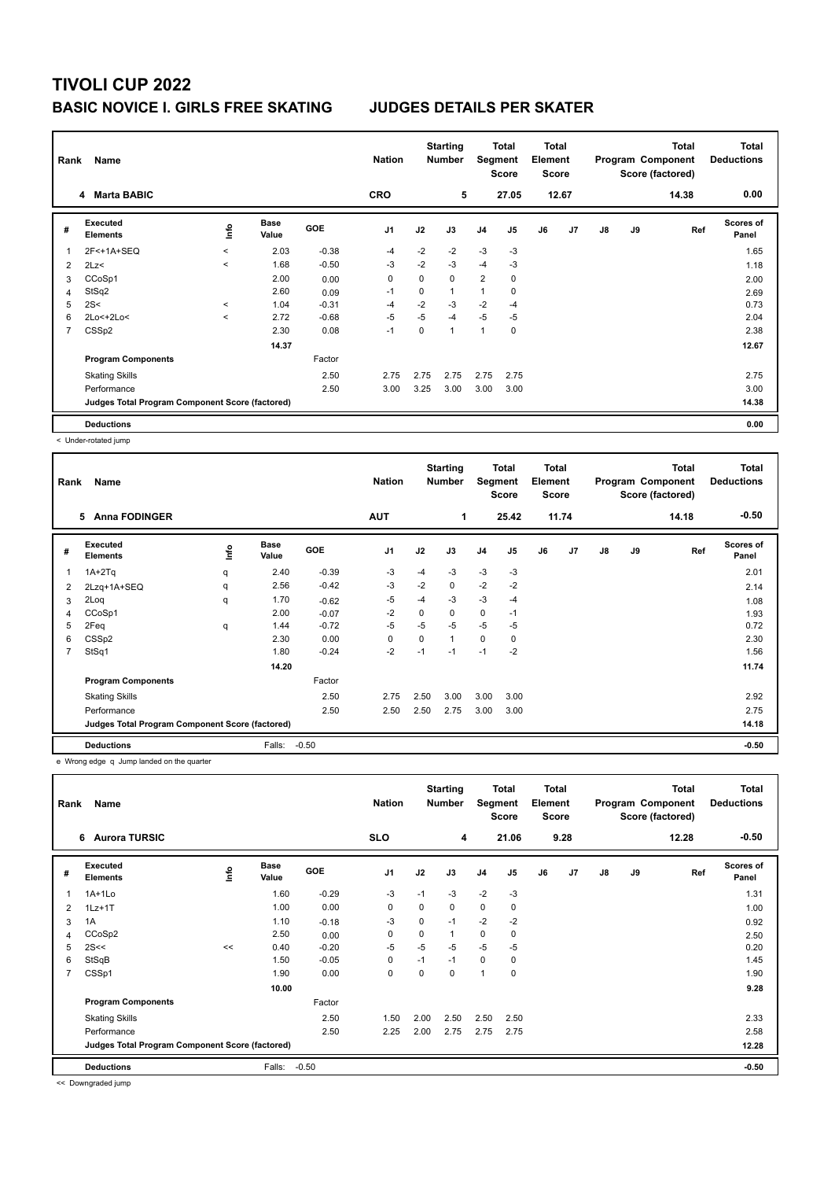## **TIVOLI CUP 2022 BASIC NOVICE I. GIRLS FREE SKATING JUDGES DETAILS PER SKATER**

|   | Name<br>Rank                                    |         |                      |            | <b>Nation</b>  |      | <b>Starting</b><br><b>Number</b> | Total<br>Segment<br><b>Score</b> |                |    | Total<br>Element<br><b>Score</b> |               |    | <b>Total</b><br>Program Component<br>Score (factored) | <b>Total</b><br><b>Deductions</b> |
|---|-------------------------------------------------|---------|----------------------|------------|----------------|------|----------------------------------|----------------------------------|----------------|----|----------------------------------|---------------|----|-------------------------------------------------------|-----------------------------------|
|   | 4 Marta BABIC                                   |         |                      |            | <b>CRO</b>     |      | 5                                |                                  | 27.05          |    | 12.67                            |               |    | 14.38                                                 | 0.00                              |
| # | Executed<br><b>Elements</b>                     | lnfo    | <b>Base</b><br>Value | <b>GOE</b> | J <sub>1</sub> | J2   | J3                               | J <sub>4</sub>                   | J <sub>5</sub> | J6 | J <sub>7</sub>                   | $\mathsf{J}8$ | J9 | Ref                                                   | <b>Scores of</b><br>Panel         |
| 1 | 2F<+1A+SEQ                                      | $\prec$ | 2.03                 | $-0.38$    | -4             | $-2$ | $-2$                             | $-3$                             | $-3$           |    |                                  |               |    |                                                       | 1.65                              |
| 2 | 2Lz<                                            | $\prec$ | 1.68                 | $-0.50$    | $-3$           | $-2$ | $-3$                             | $-4$                             | $-3$           |    |                                  |               |    |                                                       | 1.18                              |
| 3 | CCoSp1                                          |         | 2.00                 | 0.00       | 0              | 0    | $\Omega$                         | $\overline{2}$                   | 0              |    |                                  |               |    |                                                       | 2.00                              |
| 4 | StSq2                                           |         | 2.60                 | 0.09       | -1             | 0    | 1                                | 1                                | 0              |    |                                  |               |    |                                                       | 2.69                              |
| 5 | 2S<                                             | $\prec$ | 1.04                 | $-0.31$    | -4             | $-2$ | $-3$                             | $-2$                             | $-4$           |    |                                  |               |    |                                                       | 0.73                              |
| 6 | 2Lo<+2Lo<                                       | $\,<$   | 2.72                 | $-0.68$    | $-5$           | $-5$ | $-4$                             | $-5$                             | -5             |    |                                  |               |    |                                                       | 2.04                              |
| 7 | CSS <sub>p2</sub>                               |         | 2.30                 | 0.08       | $-1$           | 0    | 1                                | 1                                | 0              |    |                                  |               |    |                                                       | 2.38                              |
|   |                                                 |         | 14.37                |            |                |      |                                  |                                  |                |    |                                  |               |    |                                                       | 12.67                             |
|   | <b>Program Components</b>                       |         |                      | Factor     |                |      |                                  |                                  |                |    |                                  |               |    |                                                       |                                   |
|   | <b>Skating Skills</b>                           |         |                      | 2.50       | 2.75           | 2.75 | 2.75                             | 2.75                             | 2.75           |    |                                  |               |    |                                                       | 2.75                              |
|   | Performance                                     |         |                      | 2.50       | 3.00           | 3.25 | 3.00                             | 3.00                             | 3.00           |    |                                  |               |    |                                                       | 3.00                              |
|   | Judges Total Program Component Score (factored) |         |                      |            |                |      |                                  |                                  |                |    |                                  |               |    |                                                       | 14.38                             |
|   | <b>Deductions</b>                               |         |                      |            |                |      |                                  |                                  |                |    |                                  |               |    |                                                       | 0.00                              |

< Under-rotated jump

|                | Name<br>Rank                                    |      |                      |            | <b>Nation</b>  | <b>Starting</b><br><b>Number</b> |             |                | Total<br>Segment<br><b>Score</b> | Total<br>Element<br><b>Score</b> |       | <b>Total</b><br>Program Component<br>Score (factored) |    |       | <b>Total</b><br><b>Deductions</b> |
|----------------|-------------------------------------------------|------|----------------------|------------|----------------|----------------------------------|-------------|----------------|----------------------------------|----------------------------------|-------|-------------------------------------------------------|----|-------|-----------------------------------|
|                | 5 Anna FODINGER                                 |      |                      |            | <b>AUT</b>     |                                  | 1           |                | 25.42                            |                                  | 11.74 |                                                       |    | 14.18 | $-0.50$                           |
| #              | <b>Executed</b><br><b>Elements</b>              | lnfo | <b>Base</b><br>Value | <b>GOE</b> | J <sub>1</sub> | J2                               | J3          | J <sub>4</sub> | J5                               | J6                               | J7    | J8                                                    | J9 | Ref   | <b>Scores of</b><br>Panel         |
| 1              | $1A+2Tq$                                        | q    | 2.40                 | $-0.39$    | $-3$           | $-4$                             | $-3$        | $-3$           | $-3$                             |                                  |       |                                                       |    |       | 2.01                              |
| 2              | 2Lzq+1A+SEQ                                     | q    | 2.56                 | $-0.42$    | $-3$           | $-2$                             | $\mathbf 0$ | $-2$           | $-2$                             |                                  |       |                                                       |    |       | 2.14                              |
| 3              | 2Loq                                            | q    | 1.70                 | $-0.62$    | $-5$           | $-4$                             | -3          | $-3$           | $-4$                             |                                  |       |                                                       |    |       | 1.08                              |
| 4              | CCoSp1                                          |      | 2.00                 | $-0.07$    | $-2$           | 0                                | 0           | 0              | $-1$                             |                                  |       |                                                       |    |       | 1.93                              |
| 5              | 2Feq                                            | q    | 1.44                 | $-0.72$    | $-5$           | $-5$                             | $-5$        | $-5$           | $-5$                             |                                  |       |                                                       |    |       | 0.72                              |
| 6              | CSS <sub>p2</sub>                               |      | 2.30                 | 0.00       | 0              | 0                                | 1           | 0              | 0                                |                                  |       |                                                       |    |       | 2.30                              |
| $\overline{7}$ | StSq1                                           |      | 1.80                 | $-0.24$    | $-2$           | $-1$                             | $-1$        | $-1$           | $-2$                             |                                  |       |                                                       |    |       | 1.56                              |
|                |                                                 |      | 14.20                |            |                |                                  |             |                |                                  |                                  |       |                                                       |    |       | 11.74                             |
|                | <b>Program Components</b>                       |      |                      | Factor     |                |                                  |             |                |                                  |                                  |       |                                                       |    |       |                                   |
|                | <b>Skating Skills</b>                           |      |                      | 2.50       | 2.75           | 2.50                             | 3.00        | 3.00           | 3.00                             |                                  |       |                                                       |    |       | 2.92                              |
|                | Performance                                     |      |                      | 2.50       | 2.50           | 2.50                             | 2.75        | 3.00           | 3.00                             |                                  |       |                                                       |    |       | 2.75                              |
|                | Judges Total Program Component Score (factored) |      |                      |            |                |                                  |             |                |                                  |                                  |       |                                                       |    |       | 14.18                             |
|                | <b>Deductions</b>                               |      | Falls:               | $-0.50$    |                |                                  |             |                |                                  |                                  |       |                                                       |    |       | $-0.50$                           |

e Wrong edge q Jump landed on the quarter

| Rank           | Name                                            |      |                      |            | <b>Nation</b>  |          | <b>Starting</b><br><b>Number</b> |                | <b>Total</b><br>Segment<br><b>Score</b> | <b>Total</b><br>Element<br><b>Score</b> |      |               |    | <b>Total</b><br>Program Component<br>Score (factored) | <b>Total</b><br><b>Deductions</b> |
|----------------|-------------------------------------------------|------|----------------------|------------|----------------|----------|----------------------------------|----------------|-----------------------------------------|-----------------------------------------|------|---------------|----|-------------------------------------------------------|-----------------------------------|
|                | <b>Aurora TURSIC</b><br>6                       |      |                      |            | <b>SLO</b>     |          | 4                                |                | 21.06                                   |                                         | 9.28 |               |    | 12.28                                                 | $-0.50$                           |
| #              | Executed<br><b>Elements</b>                     | ١nf٥ | <b>Base</b><br>Value | <b>GOE</b> | J <sub>1</sub> | J2       | J3                               | J <sub>4</sub> | J5                                      | J6                                      | J7   | $\mathsf{J}8$ | J9 | Ref                                                   | <b>Scores of</b><br>Panel         |
|                | $1A+1Lo$                                        |      | 1.60                 | $-0.29$    | $-3$           | $-1$     | $-3$                             | $-2$           | $-3$                                    |                                         |      |               |    |                                                       | 1.31                              |
| 2              | $1Lz+1T$                                        |      | 1.00                 | 0.00       | 0              | 0        | 0                                | 0              | 0                                       |                                         |      |               |    |                                                       | 1.00                              |
| 3              | 1A                                              |      | 1.10                 | $-0.18$    | -3             | 0        | $-1$                             | $-2$           | $-2$                                    |                                         |      |               |    |                                                       | 0.92                              |
| 4              | CCoSp2                                          |      | 2.50                 | 0.00       | 0              | $\Omega$ | 1                                | $\mathbf 0$    | 0                                       |                                         |      |               |    |                                                       | 2.50                              |
| 5              | 2S<<                                            | <<   | 0.40                 | $-0.20$    | $-5$           | $-5$     | $-5$                             | $-5$           | $-5$                                    |                                         |      |               |    |                                                       | 0.20                              |
| 6              | StSqB                                           |      | 1.50                 | $-0.05$    | 0              | $-1$     | $-1$                             | 0              | 0                                       |                                         |      |               |    |                                                       | 1.45                              |
| $\overline{7}$ | CSSp1                                           |      | 1.90                 | 0.00       | $\mathbf 0$    | 0        | 0                                | $\overline{1}$ | 0                                       |                                         |      |               |    |                                                       | 1.90                              |
|                |                                                 |      | 10.00                |            |                |          |                                  |                |                                         |                                         |      |               |    |                                                       | 9.28                              |
|                | <b>Program Components</b>                       |      |                      | Factor     |                |          |                                  |                |                                         |                                         |      |               |    |                                                       |                                   |
|                | <b>Skating Skills</b>                           |      |                      | 2.50       | 1.50           | 2.00     | 2.50                             | 2.50           | 2.50                                    |                                         |      |               |    |                                                       | 2.33                              |
|                | Performance                                     |      |                      | 2.50       | 2.25           | 2.00     | 2.75                             | 2.75           | 2.75                                    |                                         |      |               |    |                                                       | 2.58                              |
|                | Judges Total Program Component Score (factored) |      |                      |            |                |          |                                  |                |                                         |                                         |      |               |    |                                                       | 12.28                             |
|                | <b>Deductions</b>                               |      | Falls:               | $-0.50$    |                |          |                                  |                |                                         |                                         |      |               |    |                                                       | $-0.50$                           |

<< Downgraded jump